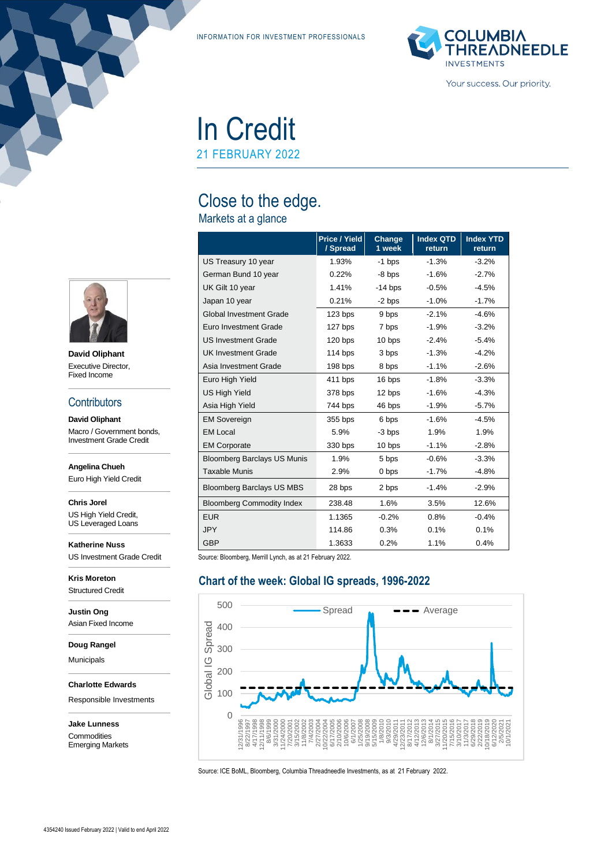INFORMATION FOR INVESTMENT PROFESSIONALS



Your success. Our priority.

# In Credit 21 FEBRUARY 2022

Close to the edge.

# Markets at a glance

|                                    | Price / Yield<br>/ Spread | Change<br>1 week | <b>Index QTD</b><br>return | <b>Index YTD</b><br>return |
|------------------------------------|---------------------------|------------------|----------------------------|----------------------------|
| US Treasury 10 year                | 1.93%                     | $-1$ bps         | $-1.3%$                    | $-3.2%$                    |
| German Bund 10 year                | 0.22%                     | $-8$ bps         | $-1.6%$                    | $-2.7%$                    |
| UK Gilt 10 year                    | 1.41%                     | $-14$ bps        | $-0.5%$                    | $-4.5%$                    |
| Japan 10 year                      | 0.21%                     | $-2$ bps         | $-1.0%$                    | $-1.7%$                    |
| <b>Global Investment Grade</b>     | $123$ bps                 | 9 bps            | $-2.1%$                    | $-4.6%$                    |
| Euro Investment Grade              | 127 bps                   | 7 bps            | $-1.9%$                    | $-3.2%$                    |
| <b>US Investment Grade</b>         | 120 bps                   | 10 bps           | $-2.4%$                    | $-5.4%$                    |
| <b>UK Investment Grade</b>         | $114$ bps                 | 3 bps            | $-1.3%$                    | $-4.2%$                    |
| Asia Investment Grade              | 198 bps                   | 8 bps            | $-1.1%$                    | $-2.6%$                    |
| Euro High Yield                    | 411 bps                   | 16 bps           | $-1.8%$                    | $-3.3%$                    |
| <b>US High Yield</b>               | 378 bps                   | 12 bps           | $-1.6%$                    | $-4.3%$                    |
| Asia High Yield                    | 744 bps                   | 46 bps           | $-1.9%$                    | $-5.7%$                    |
| <b>EM Sovereign</b>                | 355 bps                   | 6 bps            | $-1.6%$                    | $-4.5%$                    |
| <b>EM Local</b>                    | 5.9%                      | $-3$ bps         | 1.9%                       | 1.9%                       |
| <b>EM Corporate</b>                | 330 bps                   | 10 bps           | $-1.1%$                    | $-2.8%$                    |
| <b>Bloomberg Barclays US Munis</b> | 1.9%                      | 5 bps            | $-0.6%$                    | $-3.3%$                    |
| <b>Taxable Munis</b>               | 2.9%                      | 0 bps            | $-1.7%$                    | $-4.8%$                    |
| <b>Bloomberg Barclays US MBS</b>   | 28 bps                    | 2 bps            | $-1.4%$                    | $-2.9%$                    |
| <b>Bloomberg Commodity Index</b>   | 238.48                    | 1.6%             | 3.5%                       | 12.6%                      |
| <b>EUR</b>                         | 1.1365                    | $-0.2%$          | 0.8%                       | $-0.4%$                    |
| <b>JPY</b>                         | 114.86                    | 0.3%             | 0.1%                       | 0.1%                       |
| <b>GBP</b>                         | 1.3633                    | 0.2%             | 1.1%                       | 0.4%                       |

Source: Bloomberg, Merrill Lynch, as at 21 February 2022.

# **Chart of the week: Global IG spreads, 1996-2022**



Source: ICE BoML, Bloomberg, Columbia Threadneedle Investments, as at 21 February 2022.



**David Oliphant** Executive Director, Fixed Income

#### **Contributors**

**David Oliphant** Macro / Government bonds, Investment Grade Credit

**Angelina Chueh**

Euro High Yield Credit

**Chris Jorel**

US High Yield Credit, US Leveraged Loans

**Katherine Nuss** US Investment Grade Credit

**Kris Moreton** Structured Credit

**Justin Ong** Asian Fixed Income

**Doug Rangel**

Municipals

**Charlotte Edwards**

Responsible Investments

**Jake Lunness Commodities** Emerging Markets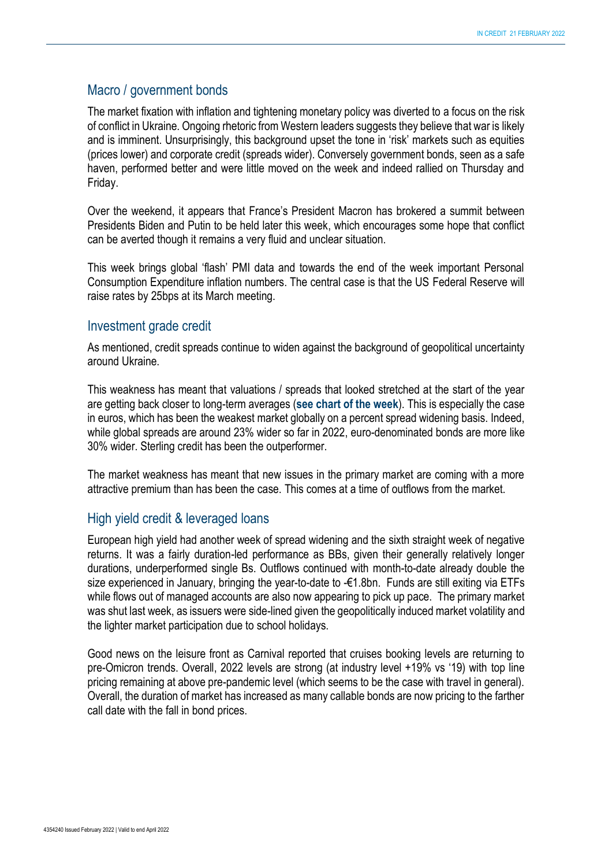## Macro / government bonds

The market fixation with inflation and tightening monetary policy was diverted to a focus on the risk of conflict in Ukraine. Ongoing rhetoric from Western leaders suggests they believe that war is likely and is imminent. Unsurprisingly, this background upset the tone in 'risk' markets such as equities (prices lower) and corporate credit (spreads wider). Conversely government bonds, seen as a safe haven, performed better and were little moved on the week and indeed rallied on Thursday and Friday.

Over the weekend, it appears that France's President Macron has brokered a summit between Presidents Biden and Putin to be held later this week, which encourages some hope that conflict can be averted though it remains a very fluid and unclear situation.

This week brings global 'flash' PMI data and towards the end of the week important Personal Consumption Expenditure inflation numbers. The central case is that the US Federal Reserve will raise rates by 25bps at its March meeting.

#### Investment grade credit

As mentioned, credit spreads continue to widen against the background of geopolitical uncertainty around Ukraine.

This weakness has meant that valuations / spreads that looked stretched at the start of the year are getting back closer to long-term averages (**see chart of the week**). This is especially the case in euros, which has been the weakest market globally on a percent spread widening basis. Indeed, while global spreads are around 23% wider so far in 2022, euro-denominated bonds are more like 30% wider. Sterling credit has been the outperformer.

The market weakness has meant that new issues in the primary market are coming with a more attractive premium than has been the case. This comes at a time of outflows from the market.

# High yield credit & leveraged loans

European high yield had another week of spread widening and the sixth straight week of negative returns. It was a fairly duration-led performance as BBs, given their generally relatively longer durations, underperformed single Bs. Outflows continued with month-to-date already double the size experienced in January, bringing the year-to-date to -€1.8bn. Funds are still exiting via ETFs while flows out of managed accounts are also now appearing to pick up pace. The primary market was shut last week, as issuers were side-lined given the geopolitically induced market volatility and the lighter market participation due to school holidays.

Good news on the leisure front as Carnival reported that cruises booking levels are returning to pre-Omicron trends. Overall, 2022 levels are strong (at industry level +19% vs '19) with top line pricing remaining at above pre-pandemic level (which seems to be the case with travel in general). Overall, the duration of market has increased as many callable bonds are now pricing to the farther call date with the fall in bond prices.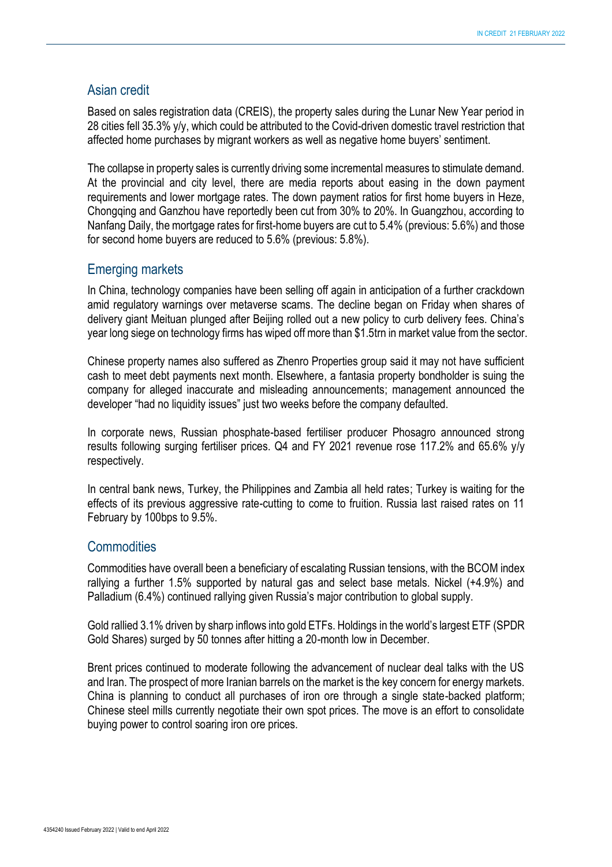### Asian credit

Based on sales registration data (CREIS), the property sales during the Lunar New Year period in 28 cities fell 35.3% y/y, which could be attributed to the Covid-driven domestic travel restriction that affected home purchases by migrant workers as well as negative home buyers' sentiment.

The collapse in property sales is currently driving some incremental measures to stimulate demand. At the provincial and city level, there are media reports about easing in the down payment requirements and lower mortgage rates. The down payment ratios for first home buyers in Heze, Chongqing and Ganzhou have reportedly been cut from 30% to 20%. In Guangzhou, according to Nanfang Daily, the mortgage rates for first-home buyers are cut to 5.4% (previous: 5.6%) and those for second home buyers are reduced to 5.6% (previous: 5.8%).

#### Emerging markets

In China, technology companies have been selling off again in anticipation of a further crackdown amid regulatory warnings over metaverse scams. The decline began on Friday when shares of delivery giant Meituan plunged after Beijing rolled out a new policy to curb delivery fees. China's year long siege on technology firms has wiped off more than \$1.5trn in market value from the sector.

Chinese property names also suffered as Zhenro Properties group said it may not have sufficient cash to meet debt payments next month. Elsewhere, a fantasia property bondholder is suing the company for alleged inaccurate and misleading announcements; management announced the developer "had no liquidity issues" just two weeks before the company defaulted.

In corporate news, Russian phosphate-based fertiliser producer Phosagro announced strong results following surging fertiliser prices. Q4 and FY 2021 revenue rose 117.2% and 65.6% y/y respectively.

In central bank news, Turkey, the Philippines and Zambia all held rates; Turkey is waiting for the effects of its previous aggressive rate-cutting to come to fruition. Russia last raised rates on 11 February by 100bps to 9.5%.

### **Commodities**

Commodities have overall been a beneficiary of escalating Russian tensions, with the BCOM index rallying a further 1.5% supported by natural gas and select base metals. Nickel (+4.9%) and Palladium (6.4%) continued rallying given Russia's major contribution to global supply.

Gold rallied 3.1% driven by sharp inflows into gold ETFs. Holdings in the world's largest ETF (SPDR Gold Shares) surged by 50 tonnes after hitting a 20-month low in December.

Brent prices continued to moderate following the advancement of nuclear deal talks with the US and Iran. The prospect of more Iranian barrels on the market is the key concern for energy markets. China is planning to conduct all purchases of iron ore through a single state-backed platform; Chinese steel mills currently negotiate their own spot prices. The move is an effort to consolidate buying power to control soaring iron ore prices.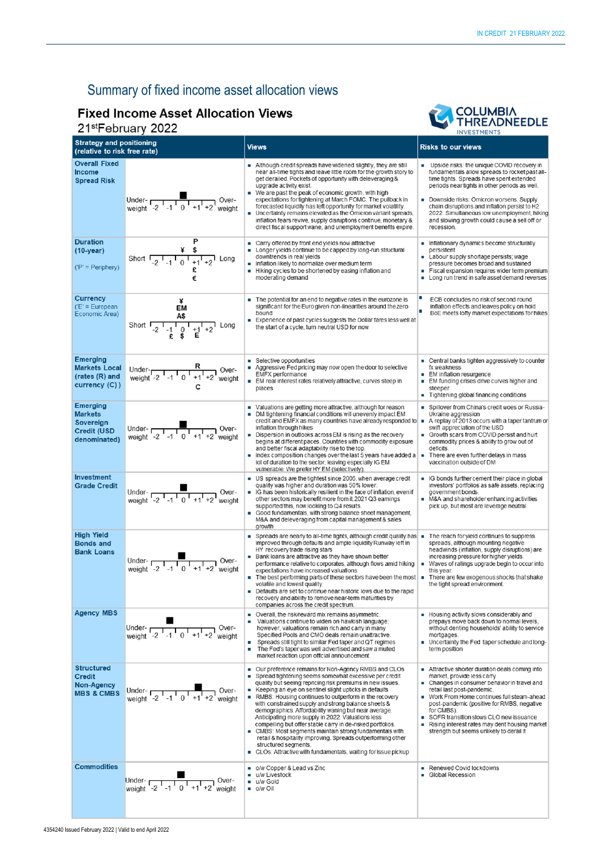# Summary of fixed income asset allocation views

# **Fixed Income Asset Allocation Views** 21stFebruary 2022



| <b>Strategy and positioning</b><br>(relative to risk free rate)                  |                                                                                                                                                                                                                                                                                                                              | <b>Views</b>                                                                                                                                                                                                                                                                                                                                                                                                                                                                                                                                                                                                                                                                                                                                                   | <b>Risks to our views</b>                                                                                                                                                                                                                                                                                                                                                                                                  |  |
|----------------------------------------------------------------------------------|------------------------------------------------------------------------------------------------------------------------------------------------------------------------------------------------------------------------------------------------------------------------------------------------------------------------------|----------------------------------------------------------------------------------------------------------------------------------------------------------------------------------------------------------------------------------------------------------------------------------------------------------------------------------------------------------------------------------------------------------------------------------------------------------------------------------------------------------------------------------------------------------------------------------------------------------------------------------------------------------------------------------------------------------------------------------------------------------------|----------------------------------------------------------------------------------------------------------------------------------------------------------------------------------------------------------------------------------------------------------------------------------------------------------------------------------------------------------------------------------------------------------------------------|--|
| <b>Overall Fixed</b><br><b>Income</b><br><b>Spread Risk</b>                      | Under-<br>weight $-2$ $-1$ $1$ $0$ $1$ $+1$ $+2$ weight                                                                                                                                                                                                                                                                      | Although credit spreads have widened slightly, they are still<br>near all-time tights and leave little room for the growth story to<br>get derailed. Pockets of opportunity with deleveraging &<br>upgrade activity exist.<br>■ We are past the peak of economic growth, with high<br>expectations for tightening at March FOMC. The pullback in<br>forecasted liquidity has left opportunity for market volatility.<br>Uncertainty remains elevated as the Omicron variant spreads,<br>inflation fears revive, supply disruptions continue, monetary &<br>direct fiscal support wane, and unemployment benefits expire.                                                                                                                                       | • Upside risks: the unique COVID recovery in<br>fundamentals allow spreads to rocket past all-<br>time tights. Spreads have spent extended<br>periods near tights in other periods as well.<br>Downside risks: Omicron worsens. Supply<br>chain disruptions and inflation persist to H2<br>2022. Simultaneous low unemployment, hiking<br>and slowing growth could cause a sell off or<br>recession.                       |  |
| <b>Duration</b><br>$(10-year)$<br>$('P' = Periphery)$                            | Short $\begin{array}{ccccc} & & \ast & \ast & \\ \hline -2 & -1 & 0 & +1 & +2 \\ \end{array}$ Long                                                                                                                                                                                                                           | Carry offered by front end yields now attractive<br>Longer yields continue to be capped by long-run structural<br>downtrends in real vields<br>Inflation likely to normalize over medium term<br>Hiking cycles to be shortened by easing inflation and<br>moderating demand                                                                                                                                                                                                                                                                                                                                                                                                                                                                                    | Inflationary dynamics become structurally<br>persistent<br>Labour supply shortage persists; wage<br>pressure becomes broad and sustained<br>Fiscal expansion requires wider term premium<br>ш<br>• Long run trend in safe asset demand reverses                                                                                                                                                                            |  |
| <b>Currency</b><br>$(E' = European)$<br>Economic Area)                           | EM<br>Short $\frac{4\pi}{2}$ $\frac{1}{2}$ $\frac{1}{2}$ $\frac{1}{2}$ $\frac{1}{2}$ $\frac{1}{2}$ $\frac{1}{2}$ $\frac{1}{2}$ $\frac{1}{2}$ $\frac{1}{2}$ $\frac{1}{2}$ $\frac{1}{2}$ $\frac{1}{2}$ $\frac{1}{2}$ $\frac{1}{2}$ $\frac{1}{2}$ $\frac{1}{2}$ $\frac{1}{2}$ $\frac{1}{2}$ $\frac{1}{2}$ $\frac{1}{2}$ $\frac$ | The potential for an end to negative rates in the eurozone is<br>significant for the Euro given non-linearities around the zero<br>bound<br>Experience of past cycles suggests the Dollar fares less well at<br>the start of a cycle, tum neutral USD for now                                                                                                                                                                                                                                                                                                                                                                                                                                                                                                  | п<br>ECB concludes no risk of second round<br>inflation effects and leaves policy on hold<br>п<br>BoE meets lofty market expectations for hikes                                                                                                                                                                                                                                                                            |  |
| Emerging<br><b>Markets Local</b><br>$(rates(R)$ and<br>currency (C))             | Under- $R$<br>weight -2 <sup>1</sup> -1 <sup>1</sup> 0 <sup>1</sup> +1 <sup>1</sup> +2 <sup>1</sup> weight                                                                                                                                                                                                                   | ■ Selective opportunities<br>Aggressive Fed pricing may now open the door to selective<br>EMFX performance<br>EM real interest rates relatively attractive, curves steep in<br>places                                                                                                                                                                                                                                                                                                                                                                                                                                                                                                                                                                          | $\blacksquare$ Central banks tighten aggressively to counter<br>fx weakness<br>EM inflation resurgence<br>■ EM funding crises drive curves higher and<br>steeper<br>Tightening global financing conditions                                                                                                                                                                                                                 |  |
| Emerging<br><b>Markets</b><br>Sovereign<br><b>Credit (USD</b><br>denominated)    | Under- $\frac{1}{\sqrt{1-1} + 1}$ Over-<br>weight -2 -1 0 +1 +2 weight                                                                                                                                                                                                                                                       | Valuations are getting more attractive, although for reason<br>DM tightening financial conditions will unevenly impact EM<br>credit and EMFX as many countries have already responded to $\blacksquare$<br>inflation through hikes<br>Dispersion in outlooks across EM is rising as the recovery<br>begins at different paces. Countries with commodity exposure<br>and better fiscal adaptability rise to the top.<br>$\blacksquare$ Index composition changes over the last 5 years have added a $\blacksquare$<br>lot of duration to the sector, leaving especially IG EM<br>vulnerable. We prefer HY EM (selectively)                                                                                                                                      | ■ Spillover from China's credit woes or Russia-<br>Ukraine aggression<br>A replay of 2013 occurs with a taper tantrum or<br>swift appreciation of the USD<br>Growth scars from COVID persist and hurt<br>commodity prices & ability to grow out of<br>deficits.<br>There are even further delays in mass<br>vaccination outside of DM                                                                                      |  |
| <b>Investment</b><br><b>Grade Credit</b>                                         | Under-<br>weight $\begin{array}{cc} 1 & 0 \\ -2 & -1 & 0 \\ 1 & 1 & +1 \\ 2 & 0 & +1 \end{array}$ Over-                                                                                                                                                                                                                      | US spreads are the tightest since 2005, when average credit<br>quality was higher and duration was 50% lower.<br>IG has been historically resilient in the face of inflation, even if<br>other sectors may benefit more from it.2021 Q3 eamings<br>supported this, now looking to Q4 results.<br>Good fundamentals, with strong balance sheet management,<br>M&A and deleveraging from capital management & sales<br>growth                                                                                                                                                                                                                                                                                                                                    | G bonds further cement their place in global<br>investors' portfolios as safe assets, replacing<br>government bonds.<br>M&A and shareholder enhancing activities<br>pick up, but most are leverage neutral.                                                                                                                                                                                                                |  |
| <b>High Yield</b><br><b>Bonds and</b><br><b>Bank Loans</b>                       |                                                                                                                                                                                                                                                                                                                              | Spreads are nearly to all-time tights, although credit quality has $\blacksquare$<br>improved through defaults and ample liquidity Runway left in<br>HY recovery trade rising stars<br>■ Bank loans are attractive as they have shown better<br>performance relative to corporates, although flows amid hiking<br>expectations have increased valuations<br>$\blacksquare$ The best performing parts of these sectors have been the most $\blacksquare$<br>volatile and lowest quality.<br>Defaults are set to continue near historic lows due to the rapid<br>$\blacksquare$<br>recovery and ability to remove near-term maturities by<br>companies across the credit spectrum.                                                                               | The reach for yield continues to suppress<br>spreads, although mounting negative<br>headwinds (inflation, supply disruptions) are<br>increasing pressure for higher yields.<br>$\mathcal{L}_{\mathcal{A}}$<br>Waves of ratings upgrade begin to occur into<br>this year.<br>There are few exogenous shocks that shake<br>the tight spread environment.                                                                     |  |
| <b>Agency MBS</b>                                                                | Under- $\frac{1}{2}$ -1 0 +1 +2<br>Over-<br>weight                                                                                                                                                                                                                                                                           | Overall, the risk/reward mix remains asymmetric.<br>a.<br>Valuations continue to widen on hawkish language;<br>however, valuations remain rich and carry in many<br>Specified Pools and CMO deals remain unattractive.<br>Spreads still tight to similar Fed taper and QT regimes<br>m.<br>The Fed's taper was well advertised and saw a muted<br>market reaction upon official announcement.                                                                                                                                                                                                                                                                                                                                                                  | Housing activity slows considerably and<br>prepays move back down to normal levels,<br>without denting households' ability to service<br>mortgages.<br>Uncertainty the Fed taper schedule and long-<br>term position                                                                                                                                                                                                       |  |
| <b>Structured</b><br><b>Credit</b><br><b>Non-Agency</b><br><b>MBS &amp; CMBS</b> | Over-<br>Under- $\frac{1}{2}$ -1 0 +1 +2<br>weight                                                                                                                                                                                                                                                                           | Our preference remains for Non-Agency RMBS and CLOs<br>Spread tightening seems somewhat excessive per credit<br>quality but seeing repricing risk premiums in new issues.<br>Keeping an eye on sentinel slight upticks in defaults<br>RMBS: Housing continues to outperform in the recovery<br>with constrained supply and strong balance sheets &<br>demographics. Affordability waning but near average.<br>Anticipating more supply in 2022. Valuations less<br>compelling but offer stable carry in de-risked portfolios.<br>$\blacksquare$ CMBS: Most segments maintain strong fundamentals with<br>retail & hospitality improving. Spreads outperforming other<br>structured segments.<br>• CLOs: Attractive with fundamentals, waiting for issue pickup | $\blacksquare$ Attractive shorter duration deals coming into<br>market, provide less carry<br>• Changes in consumer behavior in travel and<br>retail last post-pandemic.<br>■ Work From Home continues full steam-ahead<br>post-pandemic (positive for RMBS, negative<br>for CMBS).<br>SOFR transition slows CLO new issuance<br>Rising interest rates may dent housing market<br>strength but seems unlikely to derail it |  |
| <b>Commodities</b>                                                               | Under-<br>weight $-2$ $-1$ $0$ $+1$ $+2$ weight                                                                                                                                                                                                                                                                              | o/w Copper & Lead vs Zinc<br>u/w Livestock<br>u/w Gold<br>$\blacksquare$ o/w Oil                                                                                                                                                                                                                                                                                                                                                                                                                                                                                                                                                                                                                                                                               | Renewed Covid lockdowns<br>Global Recession                                                                                                                                                                                                                                                                                                                                                                                |  |